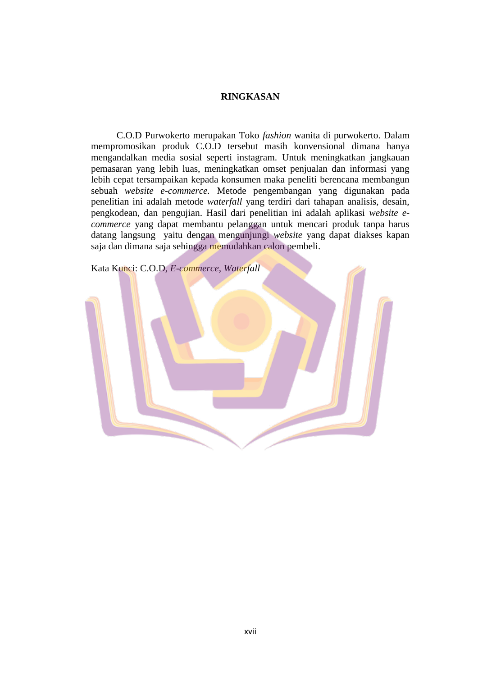## **RINGKASAN**

C.O.D Purwokerto merupakan Toko *fashion* wanita di purwokerto. Dalam mempromosikan produk C.O.D tersebut masih konvensional dimana hanya mengandalkan media sosial seperti instagram. Untuk meningkatkan jangkauan pemasaran yang lebih luas, meningkatkan omset penjualan dan informasi yang lebih cepat tersampaikan kepada konsumen maka peneliti berencana membangun sebuah *website e-commerce.* Metode pengembangan yang digunakan pada penelitian ini adalah metode *waterfall* yang terdiri dari tahapan analisis, desain, pengkodean, dan pengujian. Hasil dari penelitian ini adalah aplikasi *website ecommerce* yang dapat membantu pelanggan untuk mencari produk tanpa harus datang langsung yaitu dengan mengunjungi *website* yang dapat diakses kapan saja dan dimana saja sehingga memudahkan calon pembeli.